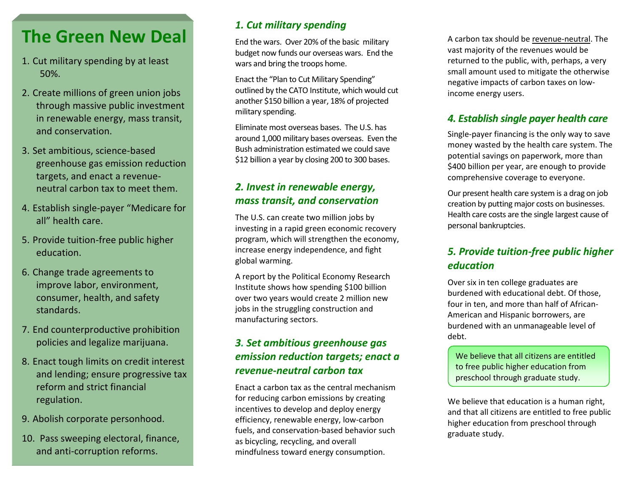## **The Green New Deal**

- 1. Cut military spending by at least 50%.
- 2. Create millions of green union jobs through massive public investment in renewable energy, mass transit, and conservation.
- 3. Set ambitious, science-based greenhouse gas emission reduction targets, and enact a revenueneutral carbon tax to meet them.
- 4. Establish single-payer "Medicare for all" health care.
- 5. Provide tuition-free public higher education.
- 6. Change trade agreements to improve labor, environment, consumer, health, and safety standards.
- 7. End counterproductive prohibition policies and legalize marijuana.
- 8. Enact tough limits on credit interest and lending; ensure progressive tax reform and strict financial regulation.
- 9. Abolish corporate personhood.
- 10. Pass sweeping electoral, finance, and anti-corruption reforms.

#### *1. Cut military spending*

End the wars. Over 20% of the basic military budget now funds our overseas wars. End the wars and bring the troops home.

Enact the "Plan to Cut Military Spending" outlined by the CATO Institute, which would cut another \$150 billion a year, 18% of projected military spending.

Eliminate most overseas bases. The U.S. has around 1,000 military bases overseas. Even the Bush administration estimated we could save \$12 billion a year by closing 200 to 300 bases.

#### *2. Invest in renewable energy, mass transit, and conservation*

The U.S. can create two million jobs by investing in a rapid green economic recovery program, which will strengthen the economy, increase energy independence, and fight global warming.

A report by the Political Economy Research Institute shows how spending \$100 billion over two years would create 2 million new jobs in the struggling construction and manufacturing sectors.

#### *3. Set ambitious greenhouse gas emission reduction targets; enact a revenue-neutral carbon tax*

Enact a carbon tax as the central mechanism for reducing carbon emissions by creating incentives to develop and deploy energy efficiency, renewable energy, low-carbon fuels, and conservation-based behavior such as bicycling, recycling, and overall mindfulness toward energy consumption.

A carbon tax should be revenue-neutral. The vast majority of the revenues would be returned to the public, with, perhaps, a very small amount used to mitigate the otherwise negative impacts of carbon taxes on lowincome energy users.

#### *4. Establish single payer health care*

Single-payer financing is the only way to save money wasted by the health care system. The potential savings on paperwork, more than \$400 billion per year, are enough to provide comprehensive coverage to everyone.

Our present health care system is a drag on job creation by putting major costs on businesses. Health care costs are the single largest cause of personal bankruptcies.

#### *5. Provide tuition-free public higher education*

Over six in ten college graduates are burdened with educational debt. Of those, four in ten, and more than half of African-American and Hispanic borrowers, are burdened with an unmanageable level of debt.

We believe that all citizens are entitled to free public higher education from preschool through graduate study.

We believe that education is a human right, and that all citizens are entitled to free public higher education from preschool through graduate study.